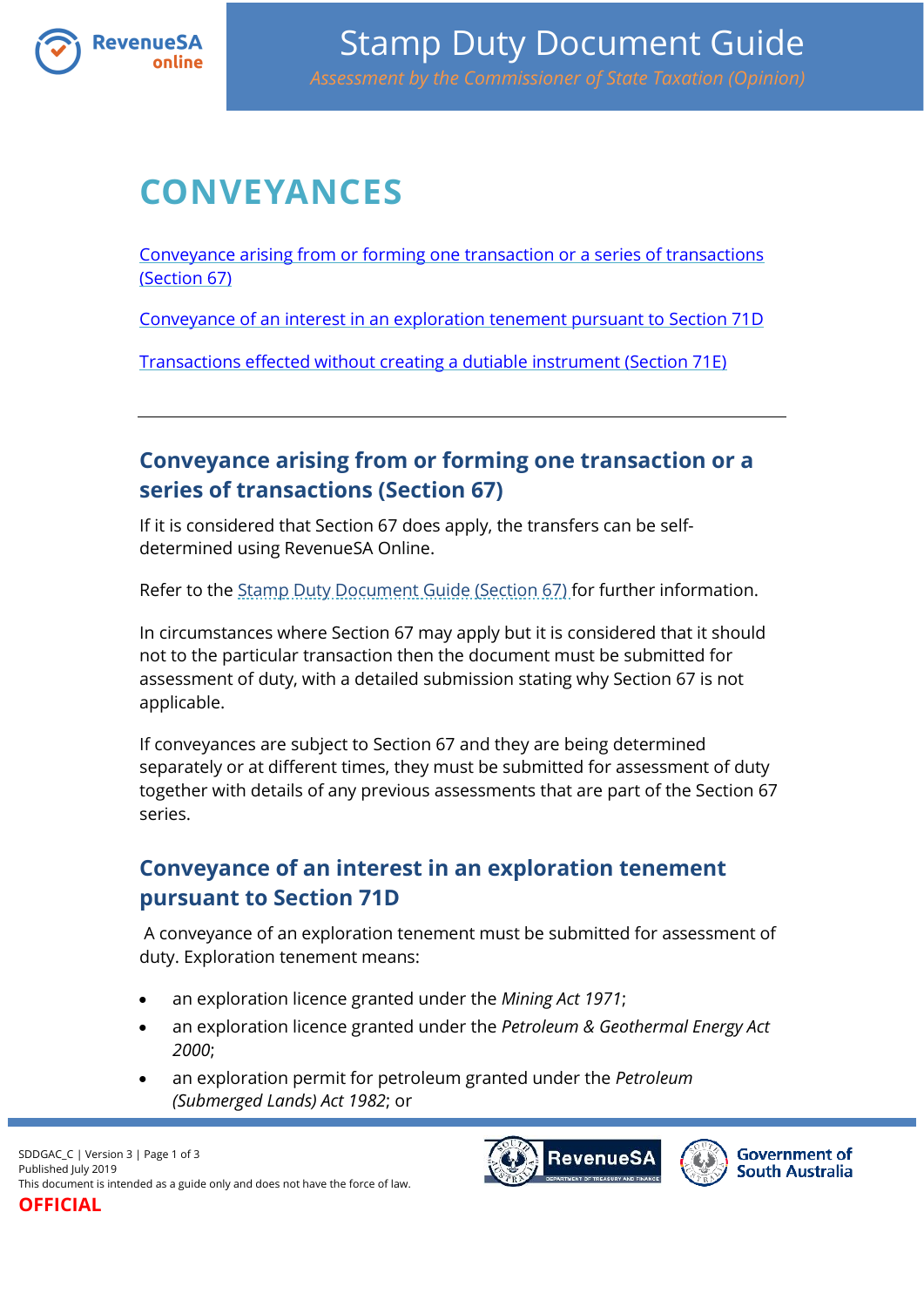

# **CONVEYANCES**

[Conveyance arising from or forming one transaction or a series of transactions](#page-0-0)  [\(Section 67\)](#page-0-0)

[Conveyance of an interest in an exploration tenement pursuant to Section 71D](#page-0-1)

[Transactions effected without creating a dutiable instrument \(Section 71E\)](#page-1-0)

### <span id="page-0-0"></span>**Conveyance arising from or forming one transaction or a series of transactions (Section 67)**

If it is considered that Section 67 does apply, the transfers can be selfdetermined using RevenueSA Online.

Refer to the [Stamp Duty Document Guide \(Section 67\)](https://www.revenuesa.sa.gov.au/stampduty/stamp-duty-document-guide/section67) for further information.

In circumstances where Section 67 may apply but it is considered that it should not to the particular transaction then the document must be submitted for assessment of duty, with a detailed submission stating why Section 67 is not applicable.

If conveyances are subject to Section 67 and they are being determined separately or at different times, they must be submitted for assessment of duty together with details of any previous assessments that are part of the Section 67 series.

#### <span id="page-0-1"></span>**Conveyance of an interest in an exploration tenement pursuant to Section 71D**

A conveyance of an exploration tenement must be submitted for assessment of duty. Exploration tenement means:

- an exploration licence granted under the *Mining Act 1971*;
- an exploration licence granted under the *Petroleum & Geothermal Energy Act 2000*;
- an exploration permit for petroleum granted under the *Petroleum (Submerged Lands) Act 1982*; or

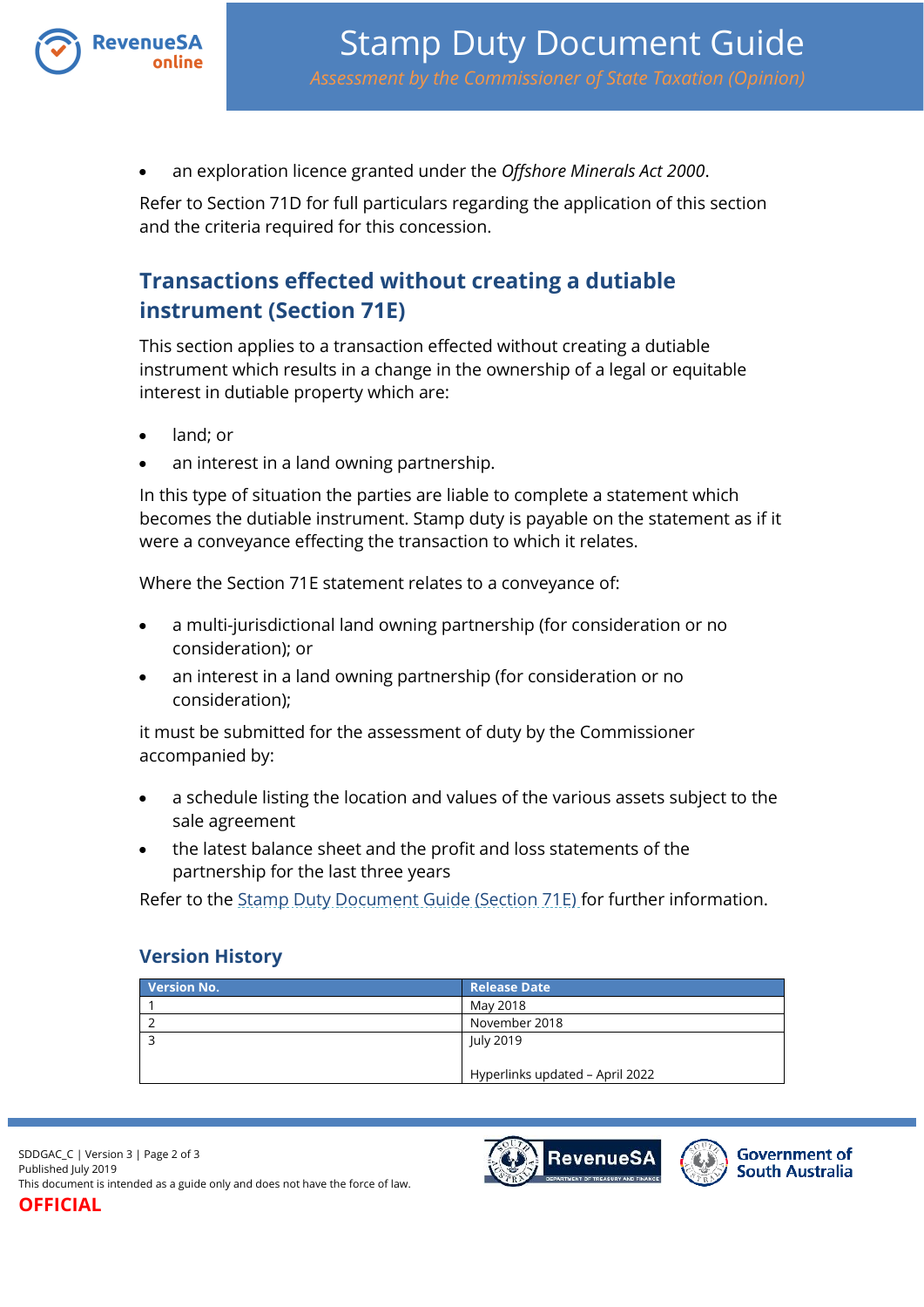

an exploration licence granted under the *Offshore Minerals Act 2000*.

Refer to Section 71D for full particulars regarding the application of this section and the criteria required for this concession.

## <span id="page-1-0"></span>**Transactions effected without creating a dutiable instrument (Section 71E)**

This section applies to a transaction effected without creating a dutiable instrument which results in a change in the ownership of a legal or equitable interest in dutiable property which are:

- land; or
- an interest in a land owning partnership.

In this type of situation the parties are liable to complete a statement which becomes the dutiable instrument. Stamp duty is payable on the statement as if it were a conveyance effecting the transaction to which it relates.

Where the Section 71E statement relates to a conveyance of:

- a multi-jurisdictional land owning partnership (for consideration or no consideration); or
- an interest in a land owning partnership (for consideration or no consideration);

it must be submitted for the assessment of duty by the Commissioner accompanied by:

- a schedule listing the location and values of the various assets subject to the sale agreement
- the latest balance sheet and the profit and loss statements of the partnership for the last three years

Refer to the [Stamp Duty Document Guide \(Section 71E\)](https://www.revenuesa.sa.gov.au/stampduty/stamp-duty-document-guide/section71e) for further information.

#### **Version History**

| <b>Version No.</b> | <b>Release Date</b>             |
|--------------------|---------------------------------|
|                    | May 2018                        |
|                    | November 2018                   |
|                    | July 2019                       |
|                    | Hyperlinks updated - April 2022 |